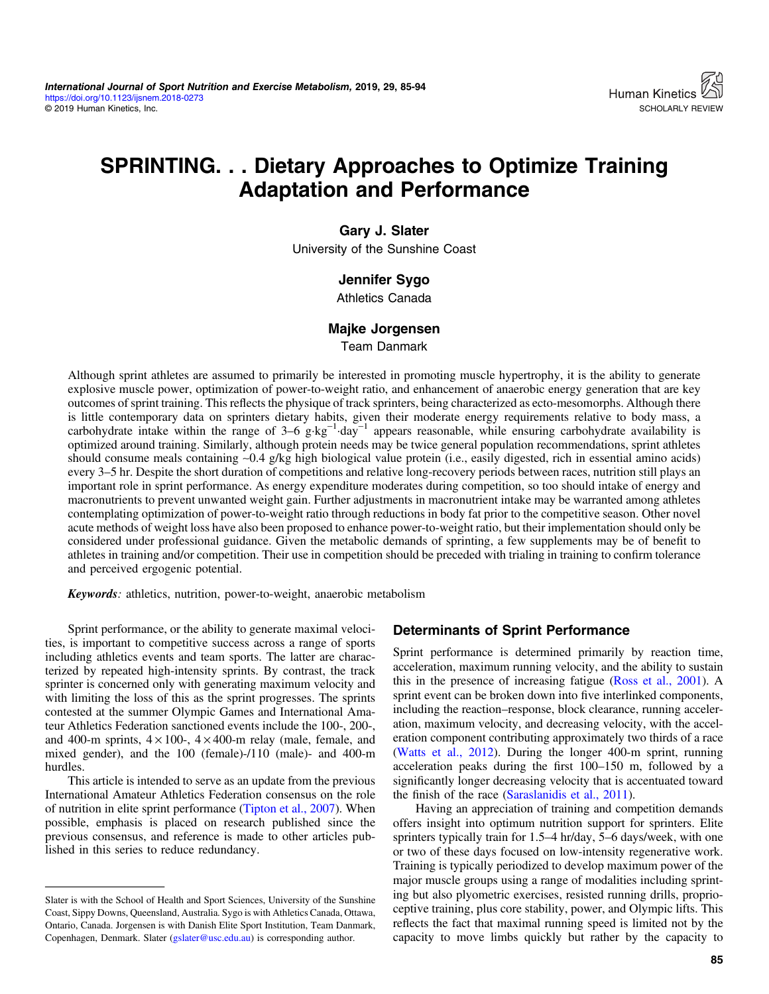# SPRINTING. . . Dietary Approaches to Optimize Training Adaptation and Performance

## Gary J. Slater

University of the Sunshine Coast

## Jennifer Sygo

Athletics Canada

# Majke Jorgensen

Team Danmark

Although sprint athletes are assumed to primarily be interested in promoting muscle hypertrophy, it is the ability to generate explosive muscle power, optimization of power-to-weight ratio, and enhancement of anaerobic energy generation that are key outcomes of sprint training. This reflects the physique of track sprinters, being characterized as ecto-mesomorphs. Although there is little contemporary data on sprinters dietary habits, given their moderate energy requirements relative to body mass, a carbohydrate intake within the range of  $3-6$  g·kg<sup>-1</sup>·day<sup>-1</sup> appears reasonable, while ensuring carbohydrate availability is optimized around training. Similarly, although protein needs may be twice general population recommendations, sprint athletes should consume meals containing ∼0.4 g/kg high biological value protein (i.e., easily digested, rich in essential amino acids) every 3–5 hr. Despite the short duration of competitions and relative long-recovery periods between races, nutrition still plays an important role in sprint performance. As energy expenditure moderates during competition, so too should intake of energy and macronutrients to prevent unwanted weight gain. Further adjustments in macronutrient intake may be warranted among athletes contemplating optimization of power-to-weight ratio through reductions in body fat prior to the competitive season. Other novel acute methods of weight loss have also been proposed to enhance power-to-weight ratio, but their implementation should only be considered under professional guidance. Given the metabolic demands of sprinting, a few supplements may be of benefit to athletes in training and/or competition. Their use in competition should be preceded with trialing in training to confirm tolerance and perceived ergogenic potential.

Keywords: athletics, nutrition, power-to-weight, anaerobic metabolism

Sprint performance, or the ability to generate maximal velocities, is important to competitive success across a range of sports including athletics events and team sports. The latter are characterized by repeated high-intensity sprints. By contrast, the track sprinter is concerned only with generating maximum velocity and with limiting the loss of this as the sprint progresses. The sprints contested at the summer Olympic Games and International Amateur Athletics Federation sanctioned events include the 100-, 200-, and 400-m sprints,  $4 \times 100$ -,  $4 \times 400$ -m relay (male, female, and mixed gender), and the 100 (female)-/110 (male)- and 400-m hurdles.

This article is intended to serve as an update from the previous International Amateur Athletics Federation consensus on the role of nutrition in elite sprint performance ([Tipton et al., 2007\)](#page-9-0). When possible, emphasis is placed on research published since the previous consensus, and reference is made to other articles published in this series to reduce redundancy.

## Determinants of Sprint Performance

Sprint performance is determined primarily by reaction time, acceleration, maximum running velocity, and the ability to sustain this in the presence of increasing fatigue ([Ross et al., 2001](#page-8-0)). A sprint event can be broken down into five interlinked components, including the reaction–response, block clearance, running acceleration, maximum velocity, and decreasing velocity, with the acceleration component contributing approximately two thirds of a race [\(Watts et al., 2012](#page-9-0)). During the longer 400-m sprint, running acceleration peaks during the first 100–150 m, followed by a significantly longer decreasing velocity that is accentuated toward the finish of the race ([Saraslanidis et al., 2011](#page-8-0)).

Having an appreciation of training and competition demands offers insight into optimum nutrition support for sprinters. Elite sprinters typically train for 1.5–4 hr/day, 5–6 days/week, with one or two of these days focused on low-intensity regenerative work. Training is typically periodized to develop maximum power of the major muscle groups using a range of modalities including sprinting but also plyometric exercises, resisted running drills, proprioceptive training, plus core stability, power, and Olympic lifts. This reflects the fact that maximal running speed is limited not by the capacity to move limbs quickly but rather by the capacity to

Slater is with the School of Health and Sport Sciences, University of the Sunshine Coast, Sippy Downs, Queensland, Australia. Sygo is with Athletics Canada, Ottawa, Ontario, Canada. Jorgensen is with Danish Elite Sport Institution, Team Danmark, Copenhagen, Denmark. Slater ([gslater@usc.edu.au\)](mailto:gslater@usc.edu.au) is corresponding author.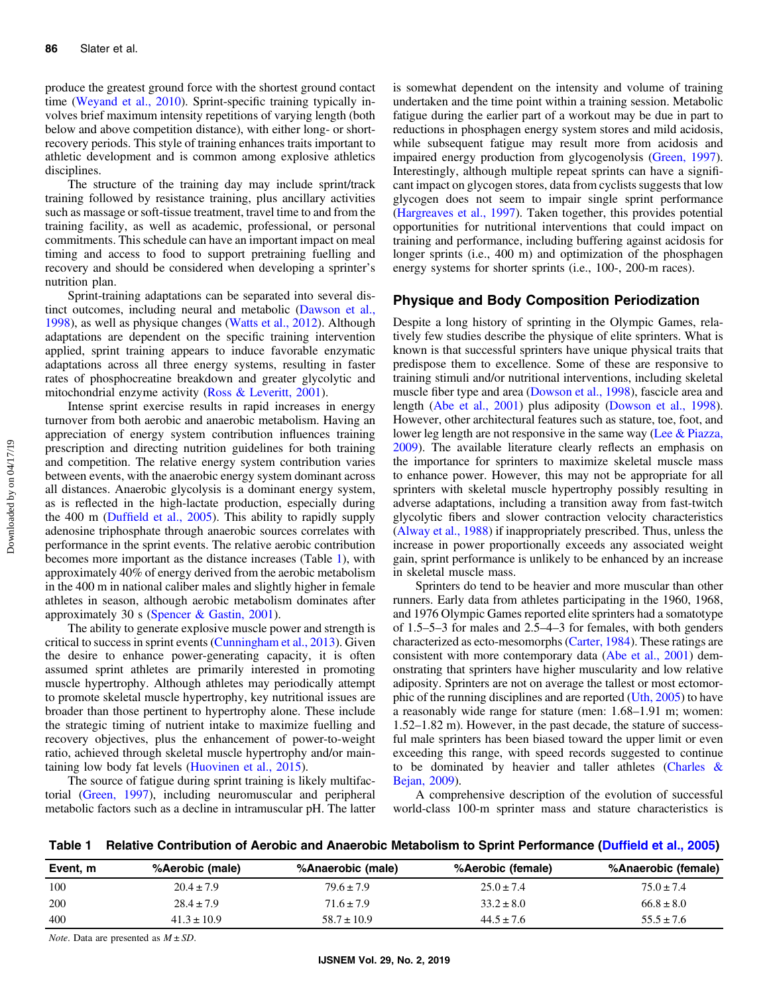produce the greatest ground force with the shortest ground contact time ([Weyand et al., 2010](#page-9-0)). Sprint-specific training typically involves brief maximum intensity repetitions of varying length (both below and above competition distance), with either long- or shortrecovery periods. This style of training enhances traits important to athletic development and is common among explosive athletics disciplines.

The structure of the training day may include sprint/track training followed by resistance training, plus ancillary activities such as massage or soft-tissue treatment, travel time to and from the training facility, as well as academic, professional, or personal commitments. This schedule can have an important impact on meal timing and access to food to support pretraining fuelling and recovery and should be considered when developing a sprinter's nutrition plan.

Sprint-training adaptations can be separated into several distinct outcomes, including neural and metabolic ([Dawson et al.,](#page-7-0) [1998](#page-7-0)), as well as physique changes ([Watts et al., 2012\)](#page-9-0). Although adaptations are dependent on the specific training intervention applied, sprint training appears to induce favorable enzymatic adaptations across all three energy systems, resulting in faster rates of phosphocreatine breakdown and greater glycolytic and mitochondrial enzyme activity [\(Ross & Leveritt, 2001\)](#page-8-0).

Intense sprint exercise results in rapid increases in energy turnover from both aerobic and anaerobic metabolism. Having an appreciation of energy system contribution influences training prescription and directing nutrition guidelines for both training and competition. The relative energy system contribution varies between events, with the anaerobic energy system dominant across all distances. Anaerobic glycolysis is a dominant energy system, as is reflected in the high-lactate production, especially during the 400 m (Duffi[eld et al., 2005](#page-7-0)). This ability to rapidly supply adenosine triphosphate through anaerobic sources correlates with performance in the sprint events. The relative aerobic contribution becomes more important as the distance increases (Table 1), with approximately 40% of energy derived from the aerobic metabolism in the 400 m in national caliber males and slightly higher in female athletes in season, although aerobic metabolism dominates after approximately 30 s [\(Spencer & Gastin, 2001](#page-8-0)).

The ability to generate explosive muscle power and strength is critical to success in sprint events ([Cunningham et al., 2013](#page-7-0)). Given the desire to enhance power-generating capacity, it is often assumed sprint athletes are primarily interested in promoting muscle hypertrophy. Although athletes may periodically attempt to promote skeletal muscle hypertrophy, key nutritional issues are broader than those pertinent to hypertrophy alone. These include the strategic timing of nutrient intake to maximize fuelling and recovery objectives, plus the enhancement of power-to-weight ratio, achieved through skeletal muscle hypertrophy and/or maintaining low body fat levels ([Huovinen et al., 2015\)](#page-7-0).

The source of fatigue during sprint training is likely multifactorial ([Green, 1997\)](#page-7-0), including neuromuscular and peripheral metabolic factors such as a decline in intramuscular pH. The latter is somewhat dependent on the intensity and volume of training undertaken and the time point within a training session. Metabolic fatigue during the earlier part of a workout may be due in part to reductions in phosphagen energy system stores and mild acidosis, while subsequent fatigue may result more from acidosis and impaired energy production from glycogenolysis ([Green, 1997](#page-7-0)). Interestingly, although multiple repeat sprints can have a significant impact on glycogen stores, data from cyclists suggests that low glycogen does not seem to impair single sprint performance [\(Hargreaves et al., 1997\)](#page-7-0). Taken together, this provides potential opportunities for nutritional interventions that could impact on training and performance, including buffering against acidosis for longer sprints (i.e., 400 m) and optimization of the phosphagen energy systems for shorter sprints (i.e., 100-, 200-m races).

## Physique and Body Composition Periodization

Despite a long history of sprinting in the Olympic Games, relatively few studies describe the physique of elite sprinters. What is known is that successful sprinters have unique physical traits that predispose them to excellence. Some of these are responsive to training stimuli and/or nutritional interventions, including skeletal muscle fiber type and area [\(Dowson et al., 1998](#page-7-0)), fascicle area and length [\(Abe et al., 2001](#page-6-0)) plus adiposity [\(Dowson et al., 1998](#page-7-0)). However, other architectural features such as stature, toe, foot, and lower leg length are not responsive in the same way ([Lee & Piazza,](#page-8-0) [2009](#page-8-0)). The available literature clearly reflects an emphasis on the importance for sprinters to maximize skeletal muscle mass to enhance power. However, this may not be appropriate for all sprinters with skeletal muscle hypertrophy possibly resulting in adverse adaptations, including a transition away from fast-twitch glycolytic fibers and slower contraction velocity characteristics [\(Alway et al., 1988](#page-7-0)) if inappropriately prescribed. Thus, unless the increase in power proportionally exceeds any associated weight gain, sprint performance is unlikely to be enhanced by an increase in skeletal muscle mass.

Sprinters do tend to be heavier and more muscular than other runners. Early data from athletes participating in the 1960, 1968, and 1976 Olympic Games reported elite sprinters had a somatotype of 1.5–5–3 for males and 2.5–4–3 for females, with both genders characterized as ecto-mesomorphs [\(Carter, 1984](#page-7-0)). These ratings are consistent with more contemporary data ([Abe et al., 2001\)](#page-6-0) demonstrating that sprinters have higher muscularity and low relative adiposity. Sprinters are not on average the tallest or most ectomorphic of the running disciplines and are reported ([Uth, 2005](#page-9-0)) to have a reasonably wide range for stature (men: 1.68–1.91 m; women: 1.52–1.82 m). However, in the past decade, the stature of successful male sprinters has been biased toward the upper limit or even exceeding this range, with speed records suggested to continue to be dominated by heavier and taller athletes [\(Charles &](#page-7-0) [Bejan, 2009\)](#page-7-0).

A comprehensive description of the evolution of successful world-class 100-m sprinter mass and stature characteristics is

Table 1 Relative Contribution of Aerobic and Anaerobic Metabolism to Sprint Performance (Duffi[eld et al., 2005\)](#page-7-0)

| Event, m | %Aerobic (male) | %Anaerobic (male) | %Aerobic (female) | %Anaerobic (female) |
|----------|-----------------|-------------------|-------------------|---------------------|
| 100      | $20.4 \pm 7.9$  | $79.6 \pm 7.9$    | $25.0 \pm 7.4$    | $75.0 \pm 7.4$      |
| 200      | $28.4 \pm 7.9$  | $71.6 \pm 7.9$    | $33.2 \pm 8.0$    | $66.8 \pm 8.0$      |
| 400      | $41.3 \pm 10.9$ | $58.7 \pm 10.9$   | $44.5 \pm 7.6$    | $55.5 \pm 7.6$      |

*Note.* Data are presented as  $M \pm SD$ .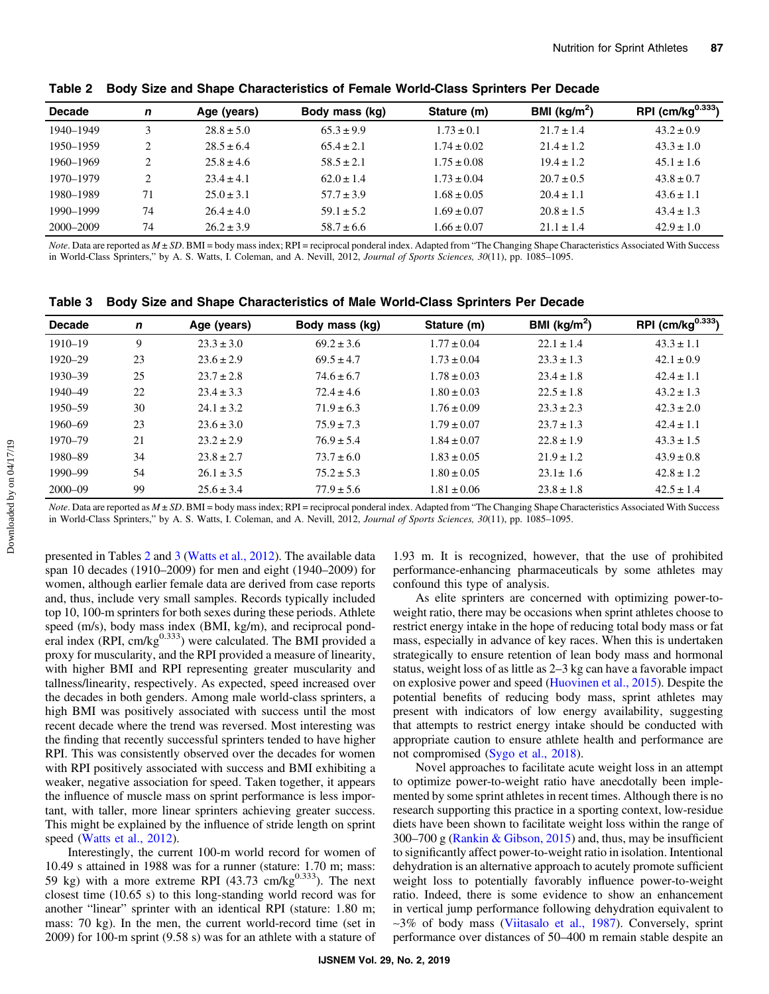| <b>Decade</b> | n  | Age (years)    | Body mass (kg) | Stature (m)     | BMI ( $kg/m2$ ) | RPI $(cm/kg0.333)$ |
|---------------|----|----------------|----------------|-----------------|-----------------|--------------------|
| 1940–1949     | 3  | $28.8 \pm 5.0$ | $65.3 \pm 9.9$ | $1.73 \pm 0.1$  | $21.7 \pm 1.4$  | $43.2 \pm 0.9$     |
| 1950–1959     | ∍  | $28.5 \pm 6.4$ | $65.4 \pm 2.1$ | $1.74 \pm 0.02$ | $21.4 \pm 1.2$  | $43.3 \pm 1.0$     |
| 1960–1969     | ∍  | $25.8 \pm 4.6$ | $58.5 \pm 2.1$ | $1.75 \pm 0.08$ | $19.4 \pm 1.2$  | $45.1 \pm 1.6$     |
| 1970–1979     | ∍  | $23.4 \pm 4.1$ | $62.0 \pm 1.4$ | $1.73 \pm 0.04$ | $20.7 \pm 0.5$  | $43.8 \pm 0.7$     |
| 1980–1989     | 71 | $25.0 \pm 3.1$ | $57.7 \pm 3.9$ | $1.68 \pm 0.05$ | $20.4 \pm 1.1$  | $43.6 \pm 1.1$     |
| 1990-1999     | 74 | $26.4 \pm 4.0$ | $59.1 \pm 5.2$ | $1.69 \pm 0.07$ | $20.8 \pm 1.5$  | $43.4 \pm 1.3$     |
| 2000–2009     | 74 | $26.2 \pm 3.9$ | $58.7 \pm 6.6$ | $1.66 \pm 0.07$ | $21.1 \pm 1.4$  | $42.9 \pm 1.0$     |

Table 2 Body Size and Shape Characteristics of Female World-Class Sprinters Per Decade

Note. Data are reported as  $M \pm SD$ . BMI = body mass index; RPI = reciprocal ponderal index. Adapted from "The Changing Shape Characteristics Associated With Success in World-Class Sprinters," by A. S. Watts, I. Coleman, and A. Nevill, 2012, Journal of Sports Sciences, 30(11), pp. 1085-1095.

|  |  | Table 3 Body Size and Shape Characteristics of Male World-Class Sprinters Per Decade |  |  |
|--|--|--------------------------------------------------------------------------------------|--|--|
|--|--|--------------------------------------------------------------------------------------|--|--|

| <b>Decade</b> | n  | Age (years)    | Body mass (kg) | Stature (m)     | BMI ( $\text{kg/m}^2$ ) | RPI (cm/kg $^{0.333}$ ) |
|---------------|----|----------------|----------------|-----------------|-------------------------|-------------------------|
| 1910-19       | 9  | $23.3 \pm 3.0$ | $69.2 \pm 3.6$ | $1.77 \pm 0.04$ | $22.1 \pm 1.4$          | $43.3 \pm 1.1$          |
| 1920-29       | 23 | $23.6 \pm 2.9$ | $69.5 \pm 4.7$ | $1.73 \pm 0.04$ | $23.3 \pm 1.3$          | $42.1 \pm 0.9$          |
| $1930 - 39$   | 25 | $23.7 \pm 2.8$ | $74.6 \pm 6.7$ | $1.78 \pm 0.03$ | $23.4 \pm 1.8$          | $42.4 \pm 1.1$          |
| 1940-49       | 22 | $23.4 \pm 3.3$ | $72.4 \pm 4.6$ | $1.80 \pm 0.03$ | $22.5 \pm 1.8$          | $43.2 \pm 1.3$          |
| 1950-59       | 30 | $24.1 \pm 3.2$ | $71.9 \pm 6.3$ | $1.76 \pm 0.09$ | $23.3 \pm 2.3$          | $42.3 \pm 2.0$          |
| 1960-69       | 23 | $23.6 \pm 3.0$ | $75.9 \pm 7.3$ | $1.79 \pm 0.07$ | $23.7 \pm 1.3$          | $42.4 \pm 1.1$          |
| 1970–79       | 21 | $23.2 \pm 2.9$ | $76.9 \pm 5.4$ | $1.84 \pm 0.07$ | $22.8 \pm 1.9$          | $43.3 \pm 1.5$          |
| 1980-89       | 34 | $23.8 \pm 2.7$ | $73.7 \pm 6.0$ | $1.83 \pm 0.05$ | $21.9 \pm 1.2$          | $43.9 \pm 0.8$          |
| 1990-99       | 54 | $26.1 \pm 3.5$ | $75.2 \pm 5.3$ | $1.80 \pm 0.05$ | $23.1 \pm 1.6$          | $42.8 \pm 1.2$          |
| $2000 - 09$   | 99 | $25.6 \pm 3.4$ | $77.9 \pm 5.6$ | $1.81 \pm 0.06$ | $23.8 \pm 1.8$          | $42.5 \pm 1.4$          |

Note. Data are reported as  $M \pm SD$ . BMI = body mass index; RPI = reciprocal ponderal index. Adapted from "The Changing Shape Characteristics Associated With Success in World-Class Sprinters," by A. S. Watts, I. Coleman, and A. Nevill, 2012, Journal of Sports Sciences, 30(11), pp. 1085-1095.

presented in Tables 2 and 3 ([Watts et al., 2012\)](#page-9-0). The available data span 10 decades (1910–2009) for men and eight (1940–2009) for women, although earlier female data are derived from case reports and, thus, include very small samples. Records typically included top 10, 100-m sprinters for both sexes during these periods. Athlete speed (m/s), body mass index (BMI, kg/m), and reciprocal ponderal index (RPI, cm/kg $^{0.333}$ ) were calculated. The BMI provided a proxy for muscularity, and the RPI provided a measure of linearity, with higher BMI and RPI representing greater muscularity and tallness/linearity, respectively. As expected, speed increased over the decades in both genders. Among male world-class sprinters, a high BMI was positively associated with success until the most recent decade where the trend was reversed. Most interesting was the finding that recently successful sprinters tended to have higher RPI. This was consistently observed over the decades for women with RPI positively associated with success and BMI exhibiting a weaker, negative association for speed. Taken together, it appears the influence of muscle mass on sprint performance is less important, with taller, more linear sprinters achieving greater success. This might be explained by the influence of stride length on sprint speed [\(Watts et al., 2012](#page-9-0)).

Interestingly, the current 100-m world record for women of 10.49 s attained in 1988 was for a runner (stature: 1.70 m; mass: 59 kg) with a more extreme RPI  $(43.73 \text{ cm/kg}^{0.333})$ . The next closest time (10.65 s) to this long-standing world record was for another "linear" sprinter with an identical RPI (stature: 1.80 m; mass: 70 kg). In the men, the current world-record time (set in 2009) for 100-m sprint (9.58 s) was for an athlete with a stature of

1.93 m. It is recognized, however, that the use of prohibited performance-enhancing pharmaceuticals by some athletes may confound this type of analysis.

As elite sprinters are concerned with optimizing power-toweight ratio, there may be occasions when sprint athletes choose to restrict energy intake in the hope of reducing total body mass or fat mass, especially in advance of key races. When this is undertaken strategically to ensure retention of lean body mass and hormonal status, weight loss of as little as 2–3 kg can have a favorable impact on explosive power and speed ([Huovinen et al., 2015](#page-7-0)). Despite the potential benefits of reducing body mass, sprint athletes may present with indicators of low energy availability, suggesting that attempts to restrict energy intake should be conducted with appropriate caution to ensure athlete health and performance are not compromised ([Sygo et al., 2018](#page-9-0)).

Novel approaches to facilitate acute weight loss in an attempt to optimize power-to-weight ratio have anecdotally been implemented by some sprint athletes in recent times. Although there is no research supporting this practice in a sporting context, low-residue diets have been shown to facilitate weight loss within the range of 300–700 g ([Rankin & Gibson, 2015\)](#page-8-0) and, thus, may be insufficient to significantly affect power-to-weight ratio in isolation. Intentional dehydration is an alternative approach to acutely promote sufficient weight loss to potentially favorably influence power-to-weight ratio. Indeed, there is some evidence to show an enhancement in vertical jump performance following dehydration equivalent to ∼3% of body mass ([Viitasalo et al., 1987\)](#page-9-0). Conversely, sprint performance over distances of 50–400 m remain stable despite an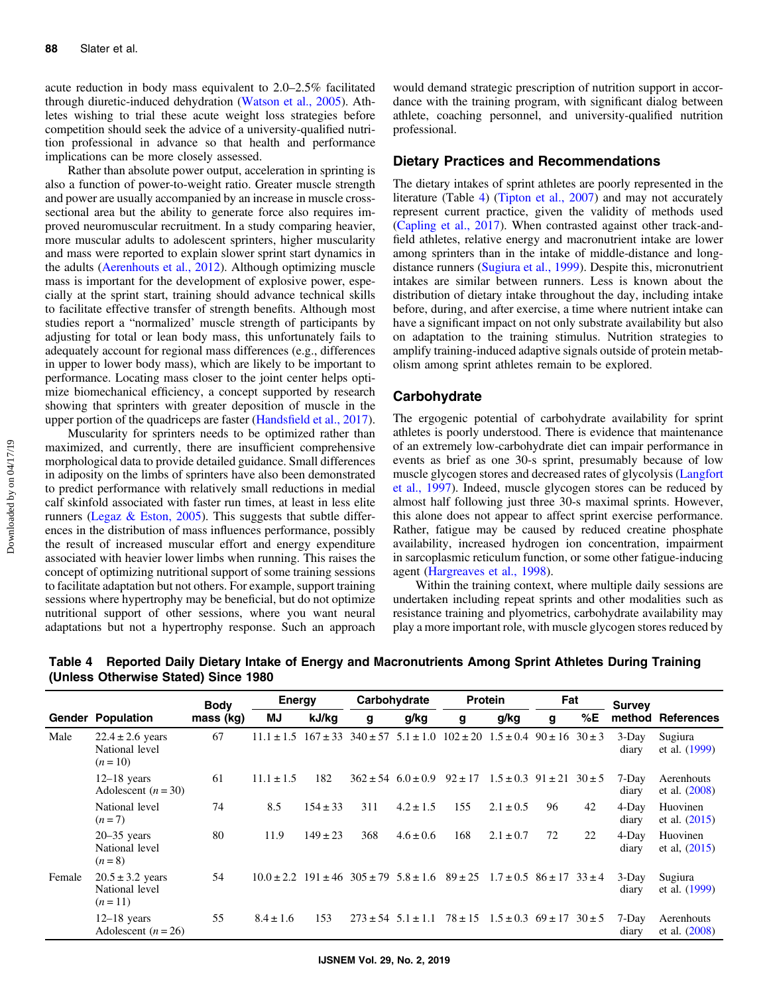<span id="page-3-0"></span>acute reduction in body mass equivalent to 2.0–2.5% facilitated through diuretic-induced dehydration [\(Watson et al., 2005\)](#page-9-0). Athletes wishing to trial these acute weight loss strategies before competition should seek the advice of a university-qualified nutrition professional in advance so that health and performance implications can be more closely assessed.

Rather than absolute power output, acceleration in sprinting is also a function of power-to-weight ratio. Greater muscle strength and power are usually accompanied by an increase in muscle crosssectional area but the ability to generate force also requires improved neuromuscular recruitment. In a study comparing heavier, more muscular adults to adolescent sprinters, higher muscularity and mass were reported to explain slower sprint start dynamics in the adults [\(Aerenhouts et al., 2012](#page-7-0)). Although optimizing muscle mass is important for the development of explosive power, especially at the sprint start, training should advance technical skills to facilitate effective transfer of strength benefits. Although most studies report a "normalized' muscle strength of participants by adjusting for total or lean body mass, this unfortunately fails to adequately account for regional mass differences (e.g., differences in upper to lower body mass), which are likely to be important to performance. Locating mass closer to the joint center helps optimize biomechanical efficiency, a concept supported by research showing that sprinters with greater deposition of muscle in the upper portion of the quadriceps are faster (Handsfi[eld et al., 2017](#page-7-0)).

Muscularity for sprinters needs to be optimized rather than maximized, and currently, there are insufficient comprehensive morphological data to provide detailed guidance. Small differences in adiposity on the limbs of sprinters have also been demonstrated to predict performance with relatively small reductions in medial calf skinfold associated with faster run times, at least in less elite runners (Legaz  $\&$  Eston, 2005). This suggests that subtle differences in the distribution of mass influences performance, possibly the result of increased muscular effort and energy expenditure associated with heavier lower limbs when running. This raises the concept of optimizing nutritional support of some training sessions to facilitate adaptation but not others. For example, support training sessions where hypertrophy may be beneficial, but do not optimize nutritional support of other sessions, where you want neural adaptations but not a hypertrophy response. Such an approach

would demand strategic prescription of nutrition support in accordance with the training program, with significant dialog between athlete, coaching personnel, and university-qualified nutrition professional.

#### Dietary Practices and Recommendations

The dietary intakes of sprint athletes are poorly represented in the literature (Table 4) ([Tipton et al., 2007](#page-9-0)) and may not accurately represent current practice, given the validity of methods used [\(Capling et al., 2017](#page-7-0)). When contrasted against other track-andfield athletes, relative energy and macronutrient intake are lower among sprinters than in the intake of middle-distance and longdistance runners ([Sugiura et al., 1999\)](#page-9-0). Despite this, micronutrient intakes are similar between runners. Less is known about the distribution of dietary intake throughout the day, including intake before, during, and after exercise, a time where nutrient intake can have a significant impact on not only substrate availability but also on adaptation to the training stimulus. Nutrition strategies to amplify training-induced adaptive signals outside of protein metabolism among sprint athletes remain to be explored.

#### Carbohydrate

The ergogenic potential of carbohydrate availability for sprint athletes is poorly understood. There is evidence that maintenance of an extremely low-carbohydrate diet can impair performance in events as brief as one 30-s sprint, presumably because of low muscle glycogen stores and decreased rates of glycolysis [\(Langfort](#page-8-0) [et al., 1997](#page-8-0)). Indeed, muscle glycogen stores can be reduced by almost half following just three 30-s maximal sprints. However, this alone does not appear to affect sprint exercise performance. Rather, fatigue may be caused by reduced creatine phosphate availability, increased hydrogen ion concentration, impairment in sarcoplasmic reticulum function, or some other fatigue-inducing agent ([Hargreaves et al., 1998](#page-7-0)).

Within the training context, where multiple daily sessions are undertaken including repeat sprints and other modalities such as resistance training and plyometrics, carbohydrate availability may play a more important role, with muscle glycogen stores reduced by

Gender Population Body mass (kg) Energy Carbohydrate Protein Fat Survey<br>J kJ/kg q q/kg q q/kg q %E method MJ kJ/kg g g/kg g g/kg g %E method References Male  $22.4 \pm 2.6$  years National level  $(n = 10)$ 67 11.1  $\pm$  1.5 167  $\pm$  33 340  $\pm$  57 5.1  $\pm$  1.0 102  $\pm$  20 1.5  $\pm$  0.4 90  $\pm$  16 30  $\pm$  3 3-Day diary Sugiura et al. ([1999\)](#page-9-0) 12–18 years Adolescent  $(n = 30)$ 61 11.1  $\pm$  1.5 182 362  $\pm$  54 6.0  $\pm$  0.9 92  $\pm$  17 1.5  $\pm$  0.3 91  $\pm$  21 30  $\pm$  5 7-Day diary Aerenhouts et al. ([2008\)](#page-7-0) National level  $(n=7)$ 74 8.5 154 ± 33 311 4.2 ± 1.5 155 2.1 ± 0.5 96 42 4-Day diary Huovinen et al. ([2015\)](#page-7-0) 20–35 years National level  $(n = 8)$ 80 11.9  $149 \pm 23$  368  $4.6 \pm 0.6$  168  $2.1 \pm 0.7$  72 22 4-Day diary Huovinen et al, ([2015\)](#page-7-0) Female  $20.5 \pm 3.2$  years National level  $(n = 11)$ 54  $10.0 \pm 2.2$  191  $\pm 46$  305  $\pm 79$  5.8  $\pm 1.6$  89  $\pm 25$  1.7  $\pm 0.5$  86  $\pm 17$  33  $\pm 4$  3-Day diary Sugiura et al. ([1999\)](#page-9-0) 12–18 years Adolescent  $(n = 26)$ 55  $8.4 \pm 1.6$  153  $273 \pm 54$  5.1 $\pm 1.1$   $78 \pm 15$  1.5 $\pm 0.3$  69 $\pm 17$  30 $\pm 5$  7-Day diary Aerenhouts et al. ([2008\)](#page-7-0)

Table 4 Reported Daily Dietary Intake of Energy and Macronutrients Among Sprint Athletes During Training (Unless Otherwise Stated) Since 1980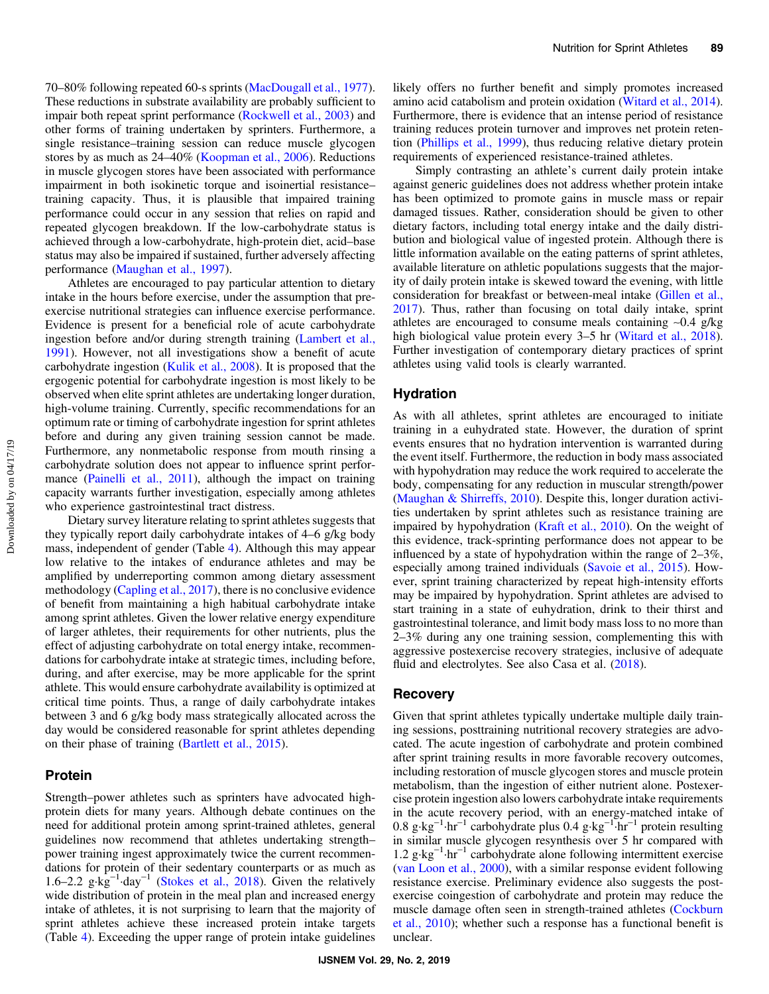70–80% following repeated 60-s sprints [\(MacDougall et al., 1977](#page-8-0)). These reductions in substrate availability are probably sufficient to impair both repeat sprint performance [\(Rockwell et al., 2003\)](#page-8-0) and other forms of training undertaken by sprinters. Furthermore, a single resistance–training session can reduce muscle glycogen stores by as much as 24–40% ([Koopman et al., 2006\)](#page-8-0). Reductions in muscle glycogen stores have been associated with performance impairment in both isokinetic torque and isoinertial resistance– training capacity. Thus, it is plausible that impaired training performance could occur in any session that relies on rapid and repeated glycogen breakdown. If the low-carbohydrate status is achieved through a low-carbohydrate, high-protein diet, acid–base status may also be impaired if sustained, further adversely affecting performance [\(Maughan et al., 1997](#page-8-0)).

Athletes are encouraged to pay particular attention to dietary intake in the hours before exercise, under the assumption that preexercise nutritional strategies can influence exercise performance. Evidence is present for a beneficial role of acute carbohydrate ingestion before and/or during strength training [\(Lambert et al.,](#page-8-0) [1991](#page-8-0)). However, not all investigations show a benefit of acute carbohydrate ingestion ([Kulik et al., 2008](#page-8-0)). It is proposed that the ergogenic potential for carbohydrate ingestion is most likely to be observed when elite sprint athletes are undertaking longer duration, high-volume training. Currently, specific recommendations for an optimum rate or timing of carbohydrate ingestion for sprint athletes before and during any given training session cannot be made. Furthermore, any nonmetabolic response from mouth rinsing a carbohydrate solution does not appear to influence sprint perfor-mance [\(Painelli et al., 2011](#page-8-0)), although the impact on training capacity warrants further investigation, especially among athletes who experience gastrointestinal tract distress.

Dietary survey literature relating to sprint athletes suggests that they typically report daily carbohydrate intakes of 4–6 g/kg body mass, independent of gender (Table [4\)](#page-3-0). Although this may appear low relative to the intakes of endurance athletes and may be amplified by underreporting common among dietary assessment methodology ([Capling et al., 2017\)](#page-7-0), there is no conclusive evidence of benefit from maintaining a high habitual carbohydrate intake among sprint athletes. Given the lower relative energy expenditure of larger athletes, their requirements for other nutrients, plus the effect of adjusting carbohydrate on total energy intake, recommendations for carbohydrate intake at strategic times, including before, during, and after exercise, may be more applicable for the sprint athlete. This would ensure carbohydrate availability is optimized at critical time points. Thus, a range of daily carbohydrate intakes between 3 and 6 g/kg body mass strategically allocated across the day would be considered reasonable for sprint athletes depending on their phase of training [\(Bartlett et al., 2015\)](#page-7-0).

# Protein

Strength–power athletes such as sprinters have advocated highprotein diets for many years. Although debate continues on the need for additional protein among sprint-trained athletes, general guidelines now recommend that athletes undertaking strength– power training ingest approximately twice the current recommendations for protein of their sedentary counterparts or as much as 1.6–2.2 g·kg−<sup>1</sup> ·day−<sup>1</sup> ([Stokes et al., 2018\)](#page-9-0). Given the relatively wide distribution of protein in the meal plan and increased energy intake of athletes, it is not surprising to learn that the majority of sprint athletes achieve these increased protein intake targets (Table [4\)](#page-3-0). Exceeding the upper range of protein intake guidelines

likely offers no further benefit and simply promotes increased amino acid catabolism and protein oxidation ([Witard et al., 2014](#page-9-0)). Furthermore, there is evidence that an intense period of resistance training reduces protein turnover and improves net protein retention [\(Phillips et al., 1999\)](#page-8-0), thus reducing relative dietary protein requirements of experienced resistance-trained athletes.

Simply contrasting an athlete's current daily protein intake against generic guidelines does not address whether protein intake has been optimized to promote gains in muscle mass or repair damaged tissues. Rather, consideration should be given to other dietary factors, including total energy intake and the daily distribution and biological value of ingested protein. Although there is little information available on the eating patterns of sprint athletes, available literature on athletic populations suggests that the majority of daily protein intake is skewed toward the evening, with little consideration for breakfast or between-meal intake [\(Gillen et al.,](#page-7-0) [2017](#page-7-0)). Thus, rather than focusing on total daily intake, sprint athletes are encouraged to consume meals containing ∼0.4 g/kg high biological value protein every 3–5 hr [\(Witard et al., 2018](#page-9-0)). Further investigation of contemporary dietary practices of sprint athletes using valid tools is clearly warranted.

# Hydration

As with all athletes, sprint athletes are encouraged to initiate training in a euhydrated state. However, the duration of sprint events ensures that no hydration intervention is warranted during the event itself. Furthermore, the reduction in body mass associated with hypohydration may reduce the work required to accelerate the body, compensating for any reduction in muscular strength/power [\(Maughan & Shirreffs, 2010](#page-8-0)). Despite this, longer duration activities undertaken by sprint athletes such as resistance training are impaired by hypohydration ([Kraft et al., 2010](#page-8-0)). On the weight of this evidence, track-sprinting performance does not appear to be influenced by a state of hypohydration within the range of 2–3%, especially among trained individuals ([Savoie et al., 2015](#page-8-0)). However, sprint training characterized by repeat high-intensity efforts may be impaired by hypohydration. Sprint athletes are advised to start training in a state of euhydration, drink to their thirst and gastrointestinal tolerance, and limit body mass loss to no more than 2–3% during any one training session, complementing this with aggressive postexercise recovery strategies, inclusive of adequate fluid and electrolytes. See also Casa et al. [\(2018](#page-7-0)).

#### **Recovery**

Given that sprint athletes typically undertake multiple daily training sessions, posttraining nutritional recovery strategies are advocated. The acute ingestion of carbohydrate and protein combined after sprint training results in more favorable recovery outcomes, including restoration of muscle glycogen stores and muscle protein metabolism, than the ingestion of either nutrient alone. Postexercise protein ingestion also lowers carbohydrate intake requirements in the acute recovery period, with an energy-matched intake of  $0.8 \text{ g} \cdot \text{kg}^{-1} \cdot \text{hr}^{-1}$  carbohydrate plus  $0.4 \text{ g} \cdot \text{kg}^{-1} \cdot \text{hr}^{-1}$  protein resulting in similar muscle glycogen resynthesis over 5 hr compared with 1.2 g·kg−<sup>1</sup> ·hr−<sup>1</sup> carbohydrate alone following intermittent exercise [\(van Loon et al., 2000\)](#page-9-0), with a similar response evident following resistance exercise. Preliminary evidence also suggests the postexercise coingestion of carbohydrate and protein may reduce the muscle damage often seen in strength-trained athletes ([Cockburn](#page-7-0) [et al., 2010\)](#page-7-0); whether such a response has a functional benefit is unclear.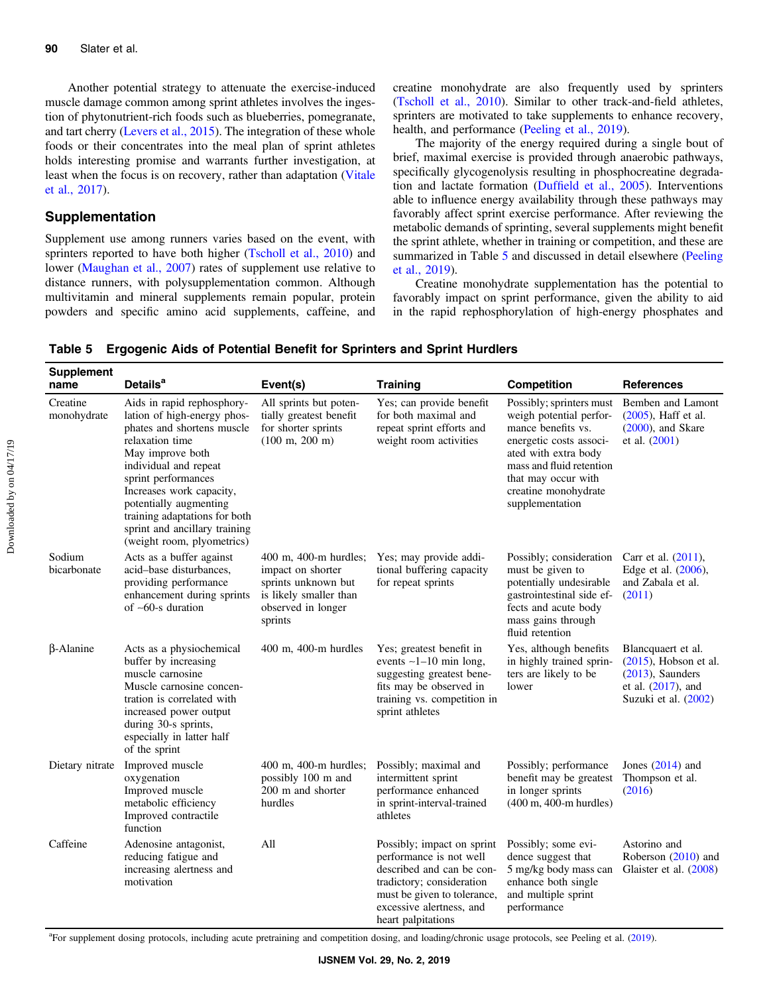Another potential strategy to attenuate the exercise-induced muscle damage common among sprint athletes involves the ingestion of phytonutrient-rich foods such as blueberries, pomegranate, and tart cherry [\(Levers et al., 2015](#page-8-0)). The integration of these whole foods or their concentrates into the meal plan of sprint athletes holds interesting promise and warrants further investigation, at least when the focus is on recovery, rather than adaptation ([Vitale](#page-9-0) [et al., 2017\)](#page-9-0).

# Supplementation

Supplement use among runners varies based on the event, with sprinters reported to have both higher ([Tscholl et al., 2010\)](#page-9-0) and lower [\(Maughan et al., 2007](#page-8-0)) rates of supplement use relative to distance runners, with polysupplementation common. Although multivitamin and mineral supplements remain popular, protein powders and specific amino acid supplements, caffeine, and creatine monohydrate are also frequently used by sprinters [\(Tscholl et al., 2010](#page-9-0)). Similar to other track-and-field athletes, sprinters are motivated to take supplements to enhance recovery, health, and performance [\(Peeling et al., 2019\)](#page-8-0).

The majority of the energy required during a single bout of brief, maximal exercise is provided through anaerobic pathways, specifically glycogenolysis resulting in phosphocreatine degradation and lactate formation (Duffi[eld et al., 2005\)](#page-7-0). Interventions able to influence energy availability through these pathways may favorably affect sprint exercise performance. After reviewing the metabolic demands of sprinting, several supplements might benefit the sprint athlete, whether in training or competition, and these are summarized in Table 5 and discussed in detail elsewhere [\(Peeling](#page-8-0) [et al., 2019\)](#page-8-0).

Creatine monohydrate supplementation has the potential to favorably impact on sprint performance, given the ability to aid in the rapid rephosphorylation of high-energy phosphates and

| <b>Supplement</b><br>name | <b>Details<sup>a</sup></b>                                                                                                                                                                                                                                                                                                           | Event(s)                                                                                                                     | <b>Training</b>                                                                                                                                                                                  | Competition                                                                                                                                                                                                                | <b>References</b>                                                                                                      |
|---------------------------|--------------------------------------------------------------------------------------------------------------------------------------------------------------------------------------------------------------------------------------------------------------------------------------------------------------------------------------|------------------------------------------------------------------------------------------------------------------------------|--------------------------------------------------------------------------------------------------------------------------------------------------------------------------------------------------|----------------------------------------------------------------------------------------------------------------------------------------------------------------------------------------------------------------------------|------------------------------------------------------------------------------------------------------------------------|
| Creatine<br>monohydrate   | Aids in rapid rephosphory-<br>lation of high-energy phos-<br>phates and shortens muscle<br>relaxation time<br>May improve both<br>individual and repeat<br>sprint performances<br>Increases work capacity,<br>potentially augmenting<br>training adaptations for both<br>sprint and ancillary training<br>(weight room, plyometrics) | All sprints but poten-<br>tially greatest benefit<br>for shorter sprints<br>$(100 \text{ m}, 200 \text{ m})$                 | Yes; can provide benefit<br>for both maximal and<br>repeat sprint efforts and<br>weight room activities                                                                                          | Possibly; sprinters must<br>weigh potential perfor-<br>mance benefits vs.<br>energetic costs associ-<br>ated with extra body<br>mass and fluid retention<br>that may occur with<br>creatine monohydrate<br>supplementation | Bemben and Lamont<br>(2005), Haff et al.<br>$(2000)$ , and Skare<br>et al. $(2001)$                                    |
| Sodium<br>bicarbonate     | Acts as a buffer against<br>acid-base disturbances,<br>providing performance<br>enhancement during sprints<br>of $\sim 60$ -s duration                                                                                                                                                                                               | 400 m, 400-m hurdles;<br>impact on shorter<br>sprints unknown but<br>is likely smaller than<br>observed in longer<br>sprints | Yes; may provide addi-<br>tional buffering capacity<br>for repeat sprints                                                                                                                        | Possibly; consideration<br>must be given to<br>potentially undesirable<br>gastrointestinal side ef-<br>fects and acute body<br>mass gains through<br>fluid retention                                                       | Carr et al. (2011),<br>Edge et al. (2006),<br>and Zabala et al.<br>(2011)                                              |
| <b>B-Alanine</b>          | Acts as a physiochemical<br>buffer by increasing<br>muscle carnosine<br>Muscle carnosine concen-<br>tration is correlated with<br>increased power output<br>during 30-s sprints,<br>especially in latter half<br>of the sprint                                                                                                       | 400 m, 400-m hurdles                                                                                                         | Yes; greatest benefit in<br>events $\sim$ 1-10 min long,<br>suggesting greatest bene-<br>fits may be observed in<br>training vs. competition in<br>sprint athletes                               | Yes, although benefits<br>in highly trained sprin-<br>ters are likely to be<br>lower                                                                                                                                       | Blancquaert et al.<br>$(2015)$ , Hobson et al.<br>$(2013)$ , Saunders<br>et al. $(2017)$ , and<br>Suzuki et al. (2002) |
| Dietary nitrate           | Improved muscle<br>oxygenation<br>Improved muscle<br>metabolic efficiency<br>Improved contractile<br>function                                                                                                                                                                                                                        | 400 m, 400-m hurdles;<br>possibly 100 m and<br>200 m and shorter<br>hurdles                                                  | Possibly; maximal and<br>intermittent sprint<br>performance enhanced<br>in sprint-interval-trained<br>athletes                                                                                   | Possibly; performance<br>benefit may be greatest<br>in longer sprints<br>(400 m, 400-m hurdles)                                                                                                                            | Jones $(2014)$ and<br>Thompson et al.<br>(2016)                                                                        |
| Caffeine                  | Adenosine antagonist,<br>reducing fatigue and<br>increasing alertness and<br>motivation                                                                                                                                                                                                                                              | All                                                                                                                          | Possibly; impact on sprint<br>performance is not well<br>described and can be con-<br>tradictory; consideration<br>must be given to tolerance,<br>excessive alertness, and<br>heart palpitations | Possibly; some evi-<br>dence suggest that<br>5 mg/kg body mass can<br>enhance both single<br>and multiple sprint<br>performance                                                                                            | Astorino and<br>Roberson (2010) and<br>Glaister et al. (2008)                                                          |

Table 5 Ergogenic Aids of Potential Benefit for Sprinters and Sprint Hurdlers

<sup>a</sup>For supplement dosing protocols, including acute pretraining and competition dosing, and loading/chronic usage protocols, see Peeling et al. ([2019\)](#page-8-0).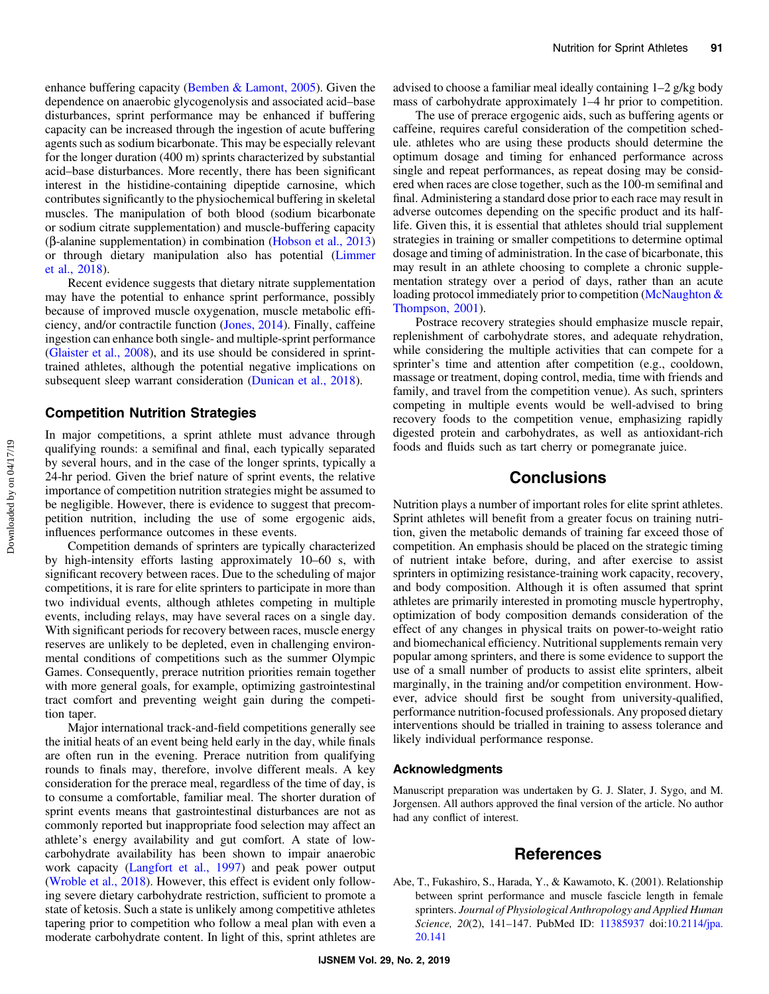<span id="page-6-0"></span>enhance buffering capacity [\(Bemben & Lamont, 2005\)](#page-7-0). Given the dependence on anaerobic glycogenolysis and associated acid–base disturbances, sprint performance may be enhanced if buffering capacity can be increased through the ingestion of acute buffering agents such as sodium bicarbonate. This may be especially relevant for the longer duration (400 m) sprints characterized by substantial acid–base disturbances. More recently, there has been significant interest in the histidine-containing dipeptide carnosine, which contributes significantly to the physiochemical buffering in skeletal muscles. The manipulation of both blood (sodium bicarbonate or sodium citrate supplementation) and muscle-buffering capacity (β-alanine supplementation) in combination [\(Hobson et al., 2013\)](#page-7-0) or through dietary manipulation also has potential [\(Limmer](#page-8-0) [et al., 2018\)](#page-8-0).

Recent evidence suggests that dietary nitrate supplementation may have the potential to enhance sprint performance, possibly because of improved muscle oxygenation, muscle metabolic efficiency, and/or contractile function [\(Jones, 2014\)](#page-8-0). Finally, caffeine ingestion can enhance both single- and multiple-sprint performance [\(Glaister et al., 2008\)](#page-7-0), and its use should be considered in sprinttrained athletes, although the potential negative implications on subsequent sleep warrant consideration [\(Dunican et al., 2018](#page-7-0)).

## Competition Nutrition Strategies

In major competitions, a sprint athlete must advance through qualifying rounds: a semifinal and final, each typically separated by several hours, and in the case of the longer sprints, typically a 24-hr period. Given the brief nature of sprint events, the relative importance of competition nutrition strategies might be assumed to be negligible. However, there is evidence to suggest that precompetition nutrition, including the use of some ergogenic aids, influences performance outcomes in these events.

Competition demands of sprinters are typically characterized by high-intensity efforts lasting approximately 10–60 s, with significant recovery between races. Due to the scheduling of major competitions, it is rare for elite sprinters to participate in more than two individual events, although athletes competing in multiple events, including relays, may have several races on a single day. With significant periods for recovery between races, muscle energy reserves are unlikely to be depleted, even in challenging environmental conditions of competitions such as the summer Olympic Games. Consequently, prerace nutrition priorities remain together with more general goals, for example, optimizing gastrointestinal tract comfort and preventing weight gain during the competition taper.

Major international track-and-field competitions generally see the initial heats of an event being held early in the day, while finals are often run in the evening. Prerace nutrition from qualifying rounds to finals may, therefore, involve different meals. A key consideration for the prerace meal, regardless of the time of day, is to consume a comfortable, familiar meal. The shorter duration of sprint events means that gastrointestinal disturbances are not as commonly reported but inappropriate food selection may affect an athlete's energy availability and gut comfort. A state of lowcarbohydrate availability has been shown to impair anaerobic work capacity ([Langfort et al., 1997\)](#page-8-0) and peak power output [\(Wroble et al., 2018](#page-9-0)). However, this effect is evident only following severe dietary carbohydrate restriction, sufficient to promote a state of ketosis. Such a state is unlikely among competitive athletes tapering prior to competition who follow a meal plan with even a moderate carbohydrate content. In light of this, sprint athletes are advised to choose a familiar meal ideally containing 1–2 g/kg body mass of carbohydrate approximately 1–4 hr prior to competition.

The use of prerace ergogenic aids, such as buffering agents or caffeine, requires careful consideration of the competition schedule. athletes who are using these products should determine the optimum dosage and timing for enhanced performance across single and repeat performances, as repeat dosing may be considered when races are close together, such as the 100-m semifinal and final. Administering a standard dose prior to each race may result in adverse outcomes depending on the specific product and its halflife. Given this, it is essential that athletes should trial supplement strategies in training or smaller competitions to determine optimal dosage and timing of administration. In the case of bicarbonate, this may result in an athlete choosing to complete a chronic supplementation strategy over a period of days, rather than an acute loading protocol immediately prior to competition ([McNaughton &](#page-8-0) [Thompson, 2001](#page-8-0)).

Postrace recovery strategies should emphasize muscle repair, replenishment of carbohydrate stores, and adequate rehydration, while considering the multiple activities that can compete for a sprinter's time and attention after competition (e.g., cooldown, massage or treatment, doping control, media, time with friends and family, and travel from the competition venue). As such, sprinters competing in multiple events would be well-advised to bring recovery foods to the competition venue, emphasizing rapidly digested protein and carbohydrates, as well as antioxidant-rich foods and fluids such as tart cherry or pomegranate juice.

# **Conclusions**

Nutrition plays a number of important roles for elite sprint athletes. Sprint athletes will benefit from a greater focus on training nutrition, given the metabolic demands of training far exceed those of competition. An emphasis should be placed on the strategic timing of nutrient intake before, during, and after exercise to assist sprinters in optimizing resistance-training work capacity, recovery, and body composition. Although it is often assumed that sprint athletes are primarily interested in promoting muscle hypertrophy, optimization of body composition demands consideration of the effect of any changes in physical traits on power-to-weight ratio and biomechanical efficiency. Nutritional supplements remain very popular among sprinters, and there is some evidence to support the use of a small number of products to assist elite sprinters, albeit marginally, in the training and/or competition environment. However, advice should first be sought from university-qualified, performance nutrition-focused professionals. Any proposed dietary interventions should be trialled in training to assess tolerance and likely individual performance response.

#### Acknowledgments

Manuscript preparation was undertaken by G. J. Slater, J. Sygo, and M. Jorgensen. All authors approved the final version of the article. No author had any conflict of interest.

# **References**

Abe, T., Fukashiro, S., Harada, Y., & Kawamoto, K. (2001). Relationship between sprint performance and muscle fascicle length in female sprinters. Journal of Physiological Anthropology and Applied Human Science, 20(2), 141-147. PubMed ID: [11385937](http://www.ncbi.nlm.nih.gov/pubmed/11385937?dopt=Abstract) doi[:10.2114/jpa.](https://doi.org/10.2114/jpa.20.141) [20.141](https://doi.org/10.2114/jpa.20.141)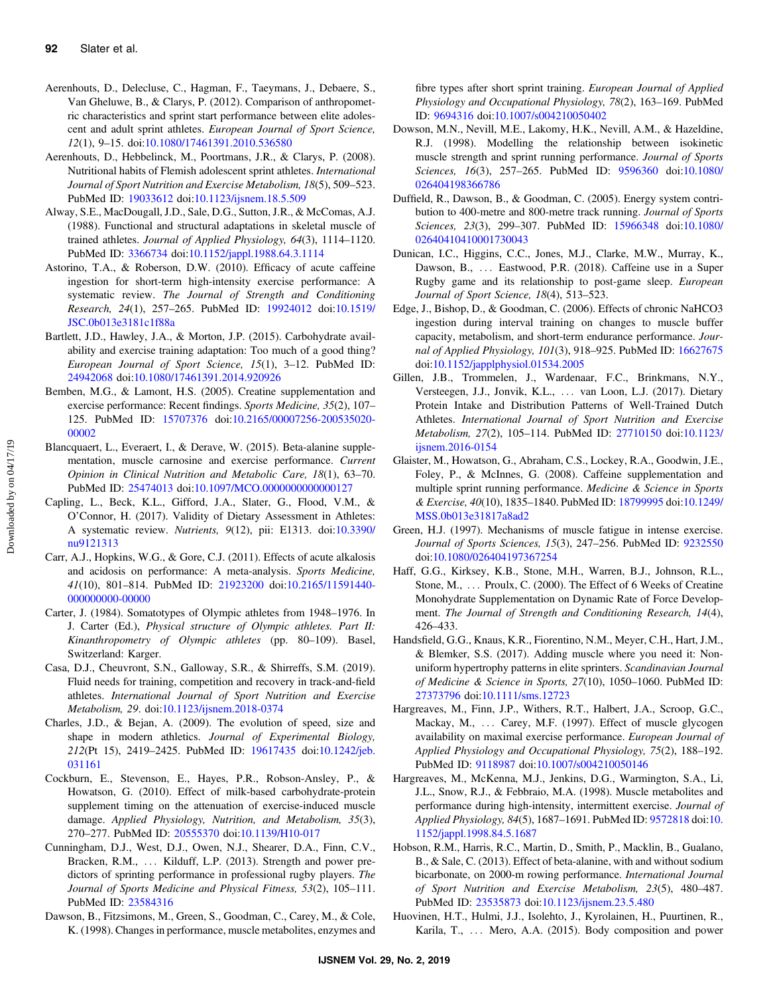- <span id="page-7-0"></span>Aerenhouts, D., Delecluse, C., Hagman, F., Taeymans, J., Debaere, S., Van Gheluwe, B., & Clarys, P. (2012). Comparison of anthropometric characteristics and sprint start performance between elite adolescent and adult sprint athletes. European Journal of Sport Science, 12(1), 9–15. doi[:10.1080/17461391.2010.536580](https://doi.org/10.1080/17461391.2010.536580)
- Aerenhouts, D., Hebbelinck, M., Poortmans, J.R., & Clarys, P. (2008). Nutritional habits of Flemish adolescent sprint athletes. International Journal of Sport Nutrition and Exercise Metabolism, 18(5), 509–523. PubMed ID: [19033612](http://www.ncbi.nlm.nih.gov/pubmed/19033612?dopt=Abstract) doi:[10.1123/ijsnem.18.5.509](https://doi.org/10.1123/ijsnem.18.5.509)
- Alway, S.E., MacDougall, J.D., Sale, D.G., Sutton, J.R., & McComas, A.J. (1988). Functional and structural adaptations in skeletal muscle of trained athletes. Journal of Applied Physiology, 64(3), 1114–1120. PubMed ID: [3366734](http://www.ncbi.nlm.nih.gov/pubmed/3366734?dopt=Abstract) doi[:10.1152/jappl.1988.64.3.1114](https://doi.org/10.1152/jappl.1988.64.3.1114)
- Astorino, T.A., & Roberson, D.W. (2010). Efficacy of acute caffeine ingestion for short-term high-intensity exercise performance: A systematic review. The Journal of Strength and Conditioning Research, 24(1), 257–265. PubMed ID: [19924012](http://www.ncbi.nlm.nih.gov/pubmed/19924012?dopt=Abstract) doi[:10.1519/](https://doi.org/10.1519/JSC.0b013e3181c1f88a) [JSC.0b013e3181c1f88a](https://doi.org/10.1519/JSC.0b013e3181c1f88a)
- Bartlett, J.D., Hawley, J.A., & Morton, J.P. (2015). Carbohydrate availability and exercise training adaptation: Too much of a good thing? European Journal of Sport Science, 15(1), 3–12. PubMed ID: [24942068](http://www.ncbi.nlm.nih.gov/pubmed/24942068?dopt=Abstract) doi:[10.1080/17461391.2014.920926](https://doi.org/10.1080/17461391.2014.920926)
- Bemben, M.G., & Lamont, H.S. (2005). Creatine supplementation and exercise performance: Recent findings. Sports Medicine, 35(2), 107– 125. PubMed ID: [15707376](http://www.ncbi.nlm.nih.gov/pubmed/15707376?dopt=Abstract) doi[:10.2165/00007256-200535020-](https://doi.org/10.2165/00007256-200535020-00002) [00002](https://doi.org/10.2165/00007256-200535020-00002)
- Blancquaert, L., Everaert, I., & Derave, W. (2015). Beta-alanine supplementation, muscle carnosine and exercise performance. Current Opinion in Clinical Nutrition and Metabolic Care, 18(1), 63–70. PubMed ID: [25474013](http://www.ncbi.nlm.nih.gov/pubmed/25474013?dopt=Abstract) doi:[10.1097/MCO.0000000000000127](https://doi.org/10.1097/MCO.0000000000000127)
- Capling, L., Beck, K.L., Gifford, J.A., Slater, G., Flood, V.M., & O'Connor, H. (2017). Validity of Dietary Assessment in Athletes: A systematic review. Nutrients, 9(12), pii: E1313. doi[:10.3390/](https://doi.org/10.3390/nu9121313) [nu9121313](https://doi.org/10.3390/nu9121313)
- Carr, A.J., Hopkins, W.G., & Gore, C.J. (2011). Effects of acute alkalosis and acidosis on performance: A meta-analysis. Sports Medicine, 41(10), 801–814. PubMed ID: [21923200](http://www.ncbi.nlm.nih.gov/pubmed/21923200?dopt=Abstract) doi[:10.2165/11591440-](https://doi.org/10.2165/11591440-000000000-00000) [000000000-00000](https://doi.org/10.2165/11591440-000000000-00000)
- Carter, J. (1984). Somatotypes of Olympic athletes from 1948–1976. In J. Carter (Ed.), Physical structure of Olympic athletes. Part II: Kinanthropometry of Olympic athletes (pp. 80–109). Basel, Switzerland: Karger.
- Casa, D.J., Cheuvront, S.N., Galloway, S.R., & Shirreffs, S.M. (2019). Fluid needs for training, competition and recovery in track-and-field athletes. International Journal of Sport Nutrition and Exercise Metabolism, 29. doi[:10.1123/ijsnem.2018-0374](https://doi.org/10.1123/ijsnem.2018-0374)
- Charles, J.D., & Bejan, A. (2009). The evolution of speed, size and shape in modern athletics. Journal of Experimental Biology, 212(Pt 15), 2419–2425. PubMed ID: [19617435](http://www.ncbi.nlm.nih.gov/pubmed/19617435?dopt=Abstract) doi[:10.1242/jeb.](https://doi.org/10.1242/jeb.031161) [031161](https://doi.org/10.1242/jeb.031161)
- Cockburn, E., Stevenson, E., Hayes, P.R., Robson-Ansley, P., & Howatson, G. (2010). Effect of milk-based carbohydrate-protein supplement timing on the attenuation of exercise-induced muscle damage. Applied Physiology, Nutrition, and Metabolism, 35(3), 270–277. PubMed ID: [20555370](http://www.ncbi.nlm.nih.gov/pubmed/20555370?dopt=Abstract) doi:[10.1139/H10-017](https://doi.org/10.1139/H10-017)
- Cunningham, D.J., West, D.J., Owen, N.J., Shearer, D.A., Finn, C.V., Bracken, R.M., ... Kilduff, L.P. (2013). Strength and power predictors of sprinting performance in professional rugby players. The Journal of Sports Medicine and Physical Fitness, 53(2), 105–111. PubMed ID: [23584316](http://www.ncbi.nlm.nih.gov/pubmed/23584316?dopt=Abstract)
- Dawson, B., Fitzsimons, M., Green, S., Goodman, C., Carey, M., & Cole, K. (1998). Changes in performance, muscle metabolites, enzymes and

fibre types after short sprint training. European Journal of Applied Physiology and Occupational Physiology, 78(2), 163–169. PubMed ID: [9694316](http://www.ncbi.nlm.nih.gov/pubmed/9694316?dopt=Abstract) doi:[10.1007/s004210050402](https://doi.org/10.1007/s004210050402)

- Dowson, M.N., Nevill, M.E., Lakomy, H.K., Nevill, A.M., & Hazeldine, R.J. (1998). Modelling the relationship between isokinetic muscle strength and sprint running performance. Journal of Sports Sciences, 16(3), 257–265. PubMed ID: [9596360](http://www.ncbi.nlm.nih.gov/pubmed/9596360?dopt=Abstract) doi[:10.1080/](https://doi.org/10.1080/026404198366786) [026404198366786](https://doi.org/10.1080/026404198366786)
- Duffield, R., Dawson, B., & Goodman, C. (2005). Energy system contribution to 400-metre and 800-metre track running. Journal of Sports Sciences, 23(3), 299–307. PubMed ID: [15966348](http://www.ncbi.nlm.nih.gov/pubmed/15966348?dopt=Abstract) doi[:10.1080/](https://doi.org/10.1080/02640410410001730043) [02640410410001730043](https://doi.org/10.1080/02640410410001730043)
- Dunican, I.C., Higgins, C.C., Jones, M.J., Clarke, M.W., Murray, K., Dawson, B., ... Eastwood, P.R. (2018). Caffeine use in a Super Rugby game and its relationship to post-game sleep. European Journal of Sport Science, 18(4), 513–523.
- Edge, J., Bishop, D., & Goodman, C. (2006). Effects of chronic NaHCO3 ingestion during interval training on changes to muscle buffer capacity, metabolism, and short-term endurance performance. Journal of Applied Physiology, 101(3), 918–925. PubMed ID: [16627675](http://www.ncbi.nlm.nih.gov/pubmed/16627675?dopt=Abstract) doi:[10.1152/japplphysiol.01534.2005](https://doi.org/10.1152/japplphysiol.01534.2005)
- Gillen, J.B., Trommelen, J., Wardenaar, F.C., Brinkmans, N.Y., Versteegen, J.J., Jonvik, K.L., ::: van Loon, L.J. (2017). Dietary Protein Intake and Distribution Patterns of Well-Trained Dutch Athletes. International Journal of Sport Nutrition and Exercise Metabolism, 27(2), 105–114. PubMed ID: [27710150](http://www.ncbi.nlm.nih.gov/pubmed/27710150?dopt=Abstract) doi[:10.1123/](https://doi.org/10.1123/ijsnem.2016-0154) [ijsnem.2016-0154](https://doi.org/10.1123/ijsnem.2016-0154)
- Glaister, M., Howatson, G., Abraham, C.S., Lockey, R.A., Goodwin, J.E., Foley, P., & McInnes, G. (2008). Caffeine supplementation and multiple sprint running performance. Medicine & Science in Sports & Exercise, 40(10), 1835–1840. PubMed ID: [18799995](http://www.ncbi.nlm.nih.gov/pubmed/18799995?dopt=Abstract) doi[:10.1249/](https://doi.org/10.1249/MSS.0b013e31817a8ad2) [MSS.0b013e31817a8ad2](https://doi.org/10.1249/MSS.0b013e31817a8ad2)
- Green, H.J. (1997). Mechanisms of muscle fatigue in intense exercise. Journal of Sports Sciences, 15(3), 247–256. PubMed ID: [9232550](http://www.ncbi.nlm.nih.gov/pubmed/9232550?dopt=Abstract) doi:[10.1080/026404197367254](https://doi.org/10.1080/026404197367254)
- Haff, G.G., Kirksey, K.B., Stone, M.H., Warren, B.J., Johnson, R.L., Stone, M., ... Proulx, C. (2000). The Effect of 6 Weeks of Creatine Monohydrate Supplementation on Dynamic Rate of Force Development. The Journal of Strength and Conditioning Research, 14(4), 426–433.
- Handsfield, G.G., Knaus, K.R., Fiorentino, N.M., Meyer, C.H., Hart, J.M., & Blemker, S.S. (2017). Adding muscle where you need it: Nonuniform hypertrophy patterns in elite sprinters. Scandinavian Journal of Medicine & Science in Sports, 27(10), 1050–1060. PubMed ID: [27373796](http://www.ncbi.nlm.nih.gov/pubmed/27373796?dopt=Abstract) doi:[10.1111/sms.12723](https://doi.org/10.1111/sms.12723)
- Hargreaves, M., Finn, J.P., Withers, R.T., Halbert, J.A., Scroop, G.C., Mackay, M., ... Carey, M.F. (1997). Effect of muscle glycogen availability on maximal exercise performance. European Journal of Applied Physiology and Occupational Physiology, 75(2), 188–192. PubMed ID: [9118987](http://www.ncbi.nlm.nih.gov/pubmed/9118987?dopt=Abstract) doi[:10.1007/s004210050146](https://doi.org/10.1007/s004210050146)
- Hargreaves, M., McKenna, M.J., Jenkins, D.G., Warmington, S.A., Li, J.L., Snow, R.J., & Febbraio, M.A. (1998). Muscle metabolites and performance during high-intensity, intermittent exercise. Journal of Applied Physiology, 84(5), 1687–1691. PubMed ID: [9572818](http://www.ncbi.nlm.nih.gov/pubmed/9572818?dopt=Abstract) doi:[10.](https://doi.org/10.1152/jappl.1998.84.5.1687) [1152/jappl.1998.84.5.1687](https://doi.org/10.1152/jappl.1998.84.5.1687)
- Hobson, R.M., Harris, R.C., Martin, D., Smith, P., Macklin, B., Gualano, B., & Sale, C. (2013). Effect of beta-alanine, with and without sodium bicarbonate, on 2000-m rowing performance. International Journal of Sport Nutrition and Exercise Metabolism, 23(5), 480–487. PubMed ID: [23535873](http://www.ncbi.nlm.nih.gov/pubmed/23535873?dopt=Abstract) doi:[10.1123/ijsnem.23.5.480](https://doi.org/10.1123/ijsnem.23.5.480)
- Huovinen, H.T., Hulmi, J.J., Isolehto, J., Kyrolainen, H., Puurtinen, R., Karila, T., ... Mero, A.A. (2015). Body composition and power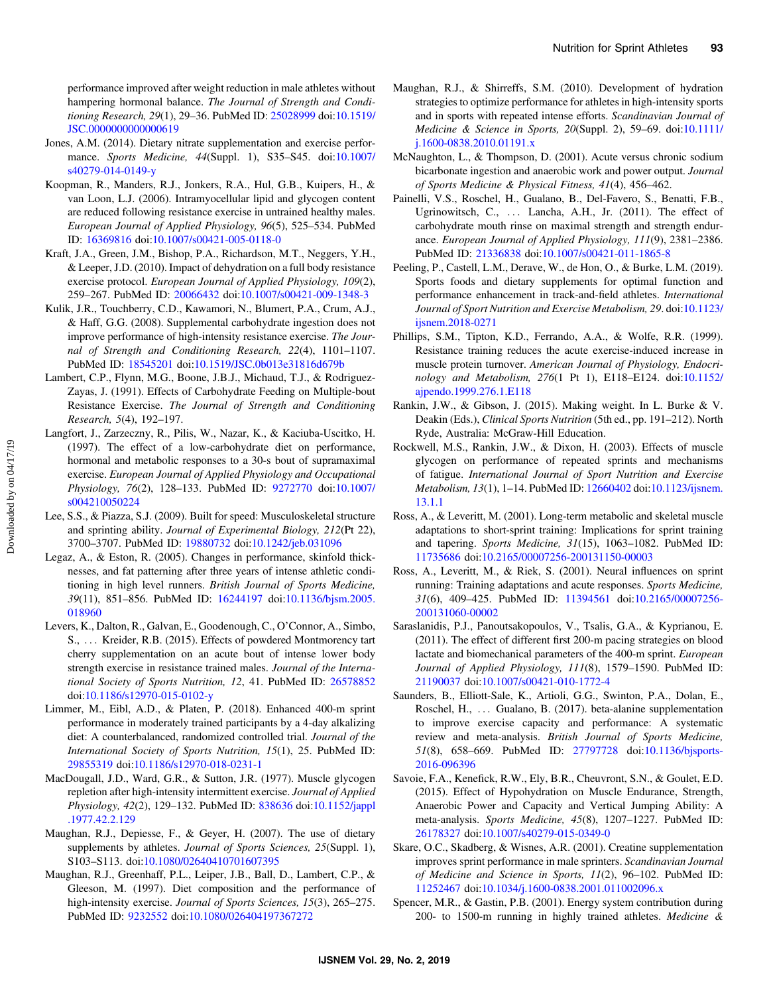<span id="page-8-0"></span>performance improved after weight reduction in male athletes without hampering hormonal balance. The Journal of Strength and Conditioning Research, 29(1), 29–36. PubMed ID: [25028999](http://www.ncbi.nlm.nih.gov/pubmed/25028999?dopt=Abstract) doi[:10.1519/](https://doi.org/10.1519/JSC.0000000000000619) [JSC.0000000000000619](https://doi.org/10.1519/JSC.0000000000000619)

- Jones, A.M. (2014). Dietary nitrate supplementation and exercise performance. Sports Medicine, 44(Suppl. 1), S35–S45. doi[:10.1007/](https://doi.org/10.1007/s40279-014-0149-y) [s40279-014-0149-y](https://doi.org/10.1007/s40279-014-0149-y)
- Koopman, R., Manders, R.J., Jonkers, R.A., Hul, G.B., Kuipers, H., & van Loon, L.J. (2006). Intramyocellular lipid and glycogen content are reduced following resistance exercise in untrained healthy males. European Journal of Applied Physiology, 96(5), 525–534. PubMed ID: [16369816](http://www.ncbi.nlm.nih.gov/pubmed/16369816?dopt=Abstract) doi[:10.1007/s00421-005-0118-0](https://doi.org/10.1007/s00421-005-0118-0)
- Kraft, J.A., Green, J.M., Bishop, P.A., Richardson, M.T., Neggers, Y.H., & Leeper, J.D. (2010). Impact of dehydration on a full body resistance exercise protocol. European Journal of Applied Physiology, 109(2), 259–267. PubMed ID: [20066432](http://www.ncbi.nlm.nih.gov/pubmed/20066432?dopt=Abstract) doi:[10.1007/s00421-009-1348-3](https://doi.org/10.1007/s00421-009-1348-3)
- Kulik, J.R., Touchberry, C.D., Kawamori, N., Blumert, P.A., Crum, A.J., & Haff, G.G. (2008). Supplemental carbohydrate ingestion does not improve performance of high-intensity resistance exercise. The Journal of Strength and Conditioning Research, 22(4), 1101–1107. PubMed ID: [18545201](http://www.ncbi.nlm.nih.gov/pubmed/18545201?dopt=Abstract) doi:[10.1519/JSC.0b013e31816d679b](https://doi.org/10.1519/JSC.0b013e31816d679b)
- Lambert, C.P., Flynn, M.G., Boone, J.B.J., Michaud, T.J., & Rodriguez-Zayas, J. (1991). Effects of Carbohydrate Feeding on Multiple-bout Resistance Exercise. The Journal of Strength and Conditioning Research, 5(4), 192–197.
- Langfort, J., Zarzeczny, R., Pilis, W., Nazar, K., & Kaciuba-Uscitko, H. (1997). The effect of a low-carbohydrate diet on performance, hormonal and metabolic responses to a 30-s bout of supramaximal exercise. European Journal of Applied Physiology and Occupational Physiology, 76(2), 128–133. PubMed ID: [9272770](http://www.ncbi.nlm.nih.gov/pubmed/9272770?dopt=Abstract) doi[:10.1007/](https://doi.org/10.1007/s004210050224) [s004210050224](https://doi.org/10.1007/s004210050224)
- Lee, S.S., & Piazza, S.J. (2009). Built for speed: Musculoskeletal structure and sprinting ability. Journal of Experimental Biology, 212(Pt 22), 3700–3707. PubMed ID: [19880732](http://www.ncbi.nlm.nih.gov/pubmed/19880732?dopt=Abstract) doi:[10.1242/jeb.031096](https://doi.org/10.1242/jeb.031096)
- Legaz, A., & Eston, R. (2005). Changes in performance, skinfold thicknesses, and fat patterning after three years of intense athletic conditioning in high level runners. British Journal of Sports Medicine, 39(11), 851–856. PubMed ID: [16244197](http://www.ncbi.nlm.nih.gov/pubmed/16244197?dopt=Abstract) doi:[10.1136/bjsm.2005.](https://doi.org/10.1136/bjsm.2005.018960) [018960](https://doi.org/10.1136/bjsm.2005.018960)
- Levers, K., Dalton, R., Galvan, E., Goodenough, C., O'Connor, A., Simbo, S., ... Kreider, R.B. (2015). Effects of powdered Montmorency tart cherry supplementation on an acute bout of intense lower body strength exercise in resistance trained males. Journal of the International Society of Sports Nutrition, 12, 41. PubMed ID: [26578852](http://www.ncbi.nlm.nih.gov/pubmed/26578852?dopt=Abstract) doi:[10.1186/s12970-015-0102-y](https://doi.org/10.1186/s12970-015-0102-y)
- Limmer, M., Eibl, A.D., & Platen, P. (2018). Enhanced 400-m sprint performance in moderately trained participants by a 4-day alkalizing diet: A counterbalanced, randomized controlled trial. Journal of the International Society of Sports Nutrition, 15(1), 25. PubMed ID: [29855319](http://www.ncbi.nlm.nih.gov/pubmed/29855319?dopt=Abstract) doi:[10.1186/s12970-018-0231-1](https://doi.org/10.1186/s12970-018-0231-1)
- MacDougall, J.D., Ward, G.R., & Sutton, J.R. (1977). Muscle glycogen repletion after high-intensity intermittent exercise. Journal of Applied Physiology, 42(2), 129–132. PubMed ID: [838636](http://www.ncbi.nlm.nih.gov/pubmed/838636?dopt=Abstract) doi:[10.1152/jappl](https://doi.org/10.1152/jappl.1977.42.2.129) [.1977.42.2.129](https://doi.org/10.1152/jappl.1977.42.2.129)
- Maughan, R.J., Depiesse, F., & Geyer, H. (2007). The use of dietary supplements by athletes. Journal of Sports Sciences, 25(Suppl. 1), S103–S113. doi[:10.1080/02640410701607395](https://doi.org/10.1080/02640410701607395)
- Maughan, R.J., Greenhaff, P.L., Leiper, J.B., Ball, D., Lambert, C.P., & Gleeson, M. (1997). Diet composition and the performance of high-intensity exercise. Journal of Sports Sciences, 15(3), 265-275. PubMed ID: [9232552](http://www.ncbi.nlm.nih.gov/pubmed/9232552?dopt=Abstract) doi[:10.1080/026404197367272](https://doi.org/10.1080/026404197367272)
- Maughan, R.J., & Shirreffs, S.M. (2010). Development of hydration strategies to optimize performance for athletes in high-intensity sports and in sports with repeated intense efforts. Scandinavian Journal of Medicine & Science in Sports, 20(Suppl. 2), 59–69. doi[:10.1111/](https://doi.org/10.1111/j.1600-0838.2010.01191.x) [j.1600-0838.2010.01191.x](https://doi.org/10.1111/j.1600-0838.2010.01191.x)
- McNaughton, L., & Thompson, D. (2001). Acute versus chronic sodium bicarbonate ingestion and anaerobic work and power output. Journal of Sports Medicine & Physical Fitness, 41(4), 456–462.
- Painelli, V.S., Roschel, H., Gualano, B., Del-Favero, S., Benatti, F.B., Ugrinowitsch, C., ... Lancha, A.H., Jr. (2011). The effect of carbohydrate mouth rinse on maximal strength and strength endurance. European Journal of Applied Physiology, 111(9), 2381–2386. PubMed ID: [21336838](http://www.ncbi.nlm.nih.gov/pubmed/21336838?dopt=Abstract) doi:[10.1007/s00421-011-1865-8](https://doi.org/10.1007/s00421-011-1865-8)
- Peeling, P., Castell, L.M., Derave, W., de Hon, O., & Burke, L.M. (2019). Sports foods and dietary supplements for optimal function and performance enhancement in track-and-field athletes. International Journal of Sport Nutrition and Exercise Metabolism, 29. doi[:10.1123/](https://doi.org/10.1123/ijsnem.2018-0271) [ijsnem.2018-0271](https://doi.org/10.1123/ijsnem.2018-0271)
- Phillips, S.M., Tipton, K.D., Ferrando, A.A., & Wolfe, R.R. (1999). Resistance training reduces the acute exercise-induced increase in muscle protein turnover. American Journal of Physiology, Endocrinology and Metabolism, 276(1 Pt 1), E118–E124. doi[:10.1152/](https://doi.org/10.1152/ajpendo.1999.276.1.E118) [ajpendo.1999.276.1.E118](https://doi.org/10.1152/ajpendo.1999.276.1.E118)
- Rankin, J.W., & Gibson, J. (2015). Making weight. In L. Burke & V. Deakin (Eds.), Clinical Sports Nutrition (5th ed., pp. 191–212). North Ryde, Australia: McGraw-Hill Education.
- Rockwell, M.S., Rankin, J.W., & Dixon, H. (2003). Effects of muscle glycogen on performance of repeated sprints and mechanisms of fatigue. International Journal of Sport Nutrition and Exercise Metabolism, 13(1), 1–14. PubMed ID: [12660402](http://www.ncbi.nlm.nih.gov/pubmed/12660402?dopt=Abstract) doi[:10.1123/ijsnem.](https://doi.org/10.1123/ijsnem.13.1.1) [13.1.1](https://doi.org/10.1123/ijsnem.13.1.1)
- Ross, A., & Leveritt, M. (2001). Long-term metabolic and skeletal muscle adaptations to short-sprint training: Implications for sprint training and tapering. Sports Medicine, 31(15), 1063–1082. PubMed ID: [11735686](http://www.ncbi.nlm.nih.gov/pubmed/11735686?dopt=Abstract) doi:[10.2165/00007256-200131150-00003](https://doi.org/10.2165/00007256-200131150-00003)
- Ross, A., Leveritt, M., & Riek, S. (2001). Neural influences on sprint running: Training adaptations and acute responses. Sports Medicine, 31(6), 409–425. PubMed ID: [11394561](http://www.ncbi.nlm.nih.gov/pubmed/11394561?dopt=Abstract) doi[:10.2165/00007256-](https://doi.org/10.2165/00007256-200131060-00002) [200131060-00002](https://doi.org/10.2165/00007256-200131060-00002)
- Saraslanidis, P.J., Panoutsakopoulos, V., Tsalis, G.A., & Kyprianou, E. (2011). The effect of different first 200-m pacing strategies on blood lactate and biomechanical parameters of the 400-m sprint. European Journal of Applied Physiology, 111(8), 1579–1590. PubMed ID: [21190037](http://www.ncbi.nlm.nih.gov/pubmed/21190037?dopt=Abstract) doi:[10.1007/s00421-010-1772-4](https://doi.org/10.1007/s00421-010-1772-4)
- Saunders, B., Elliott-Sale, K., Artioli, G.G., Swinton, P.A., Dolan, E., Roschel, H., ... Gualano, B. (2017). beta-alanine supplementation to improve exercise capacity and performance: A systematic review and meta-analysis. British Journal of Sports Medicine, 51(8), 658–669. PubMed ID: [27797728](http://www.ncbi.nlm.nih.gov/pubmed/27797728?dopt=Abstract) doi[:10.1136/bjsports-](https://doi.org/10.1136/bjsports-2016-096396)[2016-096396](https://doi.org/10.1136/bjsports-2016-096396)
- Savoie, F.A., Kenefick, R.W., Ely, B.R., Cheuvront, S.N., & Goulet, E.D. (2015). Effect of Hypohydration on Muscle Endurance, Strength, Anaerobic Power and Capacity and Vertical Jumping Ability: A meta-analysis. Sports Medicine, 45(8), 1207–1227. PubMed ID: [26178327](http://www.ncbi.nlm.nih.gov/pubmed/26178327?dopt=Abstract) doi:[10.1007/s40279-015-0349-0](https://doi.org/10.1007/s40279-015-0349-0)
- Skare, O.C., Skadberg, & Wisnes, A.R. (2001). Creatine supplementation improves sprint performance in male sprinters. Scandinavian Journal of Medicine and Science in Sports, 11(2), 96–102. PubMed ID: [11252467](http://www.ncbi.nlm.nih.gov/pubmed/11252467?dopt=Abstract) doi:[10.1034/j.1600-0838.2001.011002096.x](https://doi.org/10.1034/j.1600-0838.2001.011002096.x)
- Spencer, M.R., & Gastin, P.B. (2001). Energy system contribution during 200- to 1500-m running in highly trained athletes. Medicine &